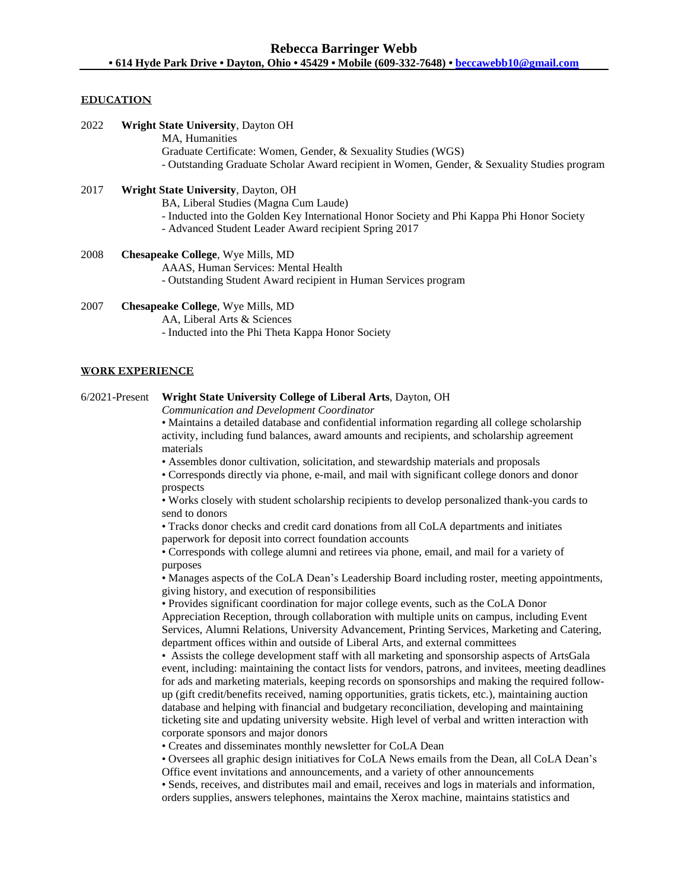#### **EDUCATION**

| 2022 | <b>Wright State University, Dayton OH</b>                                                    |
|------|----------------------------------------------------------------------------------------------|
|      | MA, Humanities                                                                               |
|      | Graduate Certificate: Women, Gender, & Sexuality Studies (WGS)                               |
|      | - Outstanding Graduate Scholar Award recipient in Women, Gender, & Sexuality Studies program |
| 2017 | <b>Wright State University, Dayton, OH</b>                                                   |

# BA, Liberal Studies (Magna Cum Laude) - Inducted into the Golden Key International Honor Society and Phi Kappa Phi Honor Society - Advanced Student Leader Award recipient Spring 2017

- 2008 **Chesapeake College**, Wye Mills, MD AAAS, Human Services: Mental Health - Outstanding Student Award recipient in Human Services program
- 2007 **Chesapeake College**, Wye Mills, MD AA, Liberal Arts & Sciences - Inducted into the Phi Theta Kappa Honor Society

## **WORK EXPERIENCE**

#### 6/2021-Present **Wright State University College of Liberal Arts**, Dayton, OH

*Communication and Development Coordinator*

• Maintains a detailed database and confidential information regarding all college scholarship activity, including fund balances, award amounts and recipients, and scholarship agreement materials

• Assembles donor cultivation, solicitation, and stewardship materials and proposals

• Corresponds directly via phone, e-mail, and mail with significant college donors and donor prospects

• Works closely with student scholarship recipients to develop personalized thank-you cards to send to donors

• Tracks donor checks and credit card donations from all CoLA departments and initiates paperwork for deposit into correct foundation accounts

• Corresponds with college alumni and retirees via phone, email, and mail for a variety of purposes

• Manages aspects of the CoLA Dean's Leadership Board including roster, meeting appointments, giving history, and execution of responsibilities

• Provides significant coordination for major college events, such as the CoLA Donor Appreciation Reception, through collaboration with multiple units on campus, including Event Services, Alumni Relations, University Advancement, Printing Services, Marketing and Catering, department offices within and outside of Liberal Arts, and external committees

• Assists the college development staff with all marketing and sponsorship aspects of ArtsGala event, including: maintaining the contact lists for vendors, patrons, and invitees, meeting deadlines for ads and marketing materials, keeping records on sponsorships and making the required followup (gift credit/benefits received, naming opportunities, gratis tickets, etc.), maintaining auction database and helping with financial and budgetary reconciliation, developing and maintaining ticketing site and updating university website. High level of verbal and written interaction with corporate sponsors and major donors

• Creates and disseminates monthly newsletter for CoLA Dean

• Oversees all graphic design initiatives for CoLA News emails from the Dean, all CoLA Dean's Office event invitations and announcements, and a variety of other announcements

• Sends, receives, and distributes mail and email, receives and logs in materials and information, orders supplies, answers telephones, maintains the Xerox machine, maintains statistics and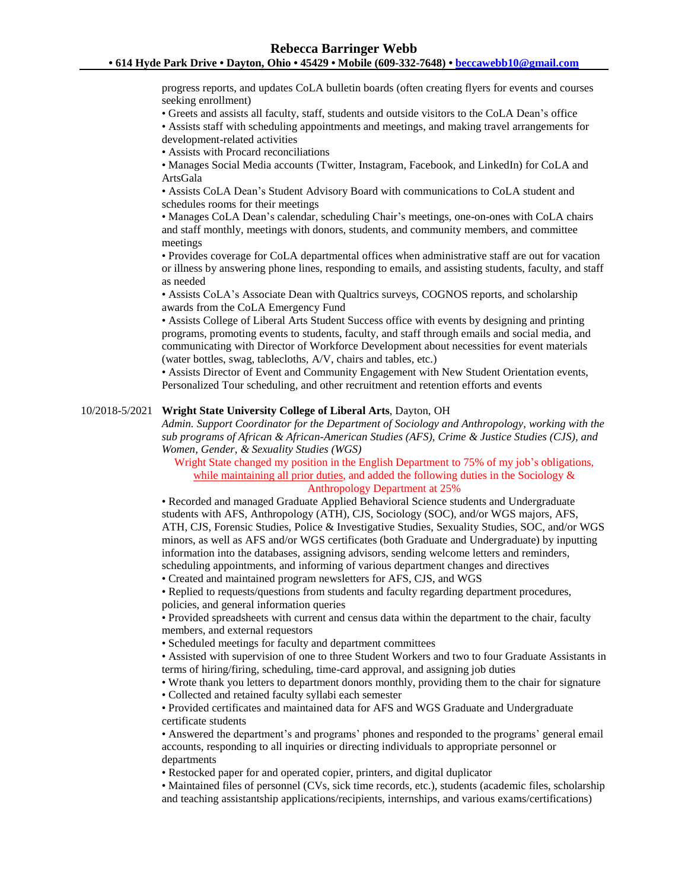progress reports, and updates CoLA bulletin boards (often creating flyers for events and courses seeking enrollment)

• Greets and assists all faculty, staff, students and outside visitors to the CoLA Dean's office

• Assists staff with scheduling appointments and meetings, and making travel arrangements for development-related activities

• Assists with Procard reconciliations

• Manages Social Media accounts (Twitter, Instagram, Facebook, and LinkedIn) for CoLA and ArtsGala

• Assists CoLA Dean's Student Advisory Board with communications to CoLA student and schedules rooms for their meetings

• Manages CoLA Dean's calendar, scheduling Chair's meetings, one-on-ones with CoLA chairs and staff monthly, meetings with donors, students, and community members, and committee meetings

• Provides coverage for CoLA departmental offices when administrative staff are out for vacation or illness by answering phone lines, responding to emails, and assisting students, faculty, and staff as needed

• Assists CoLA's Associate Dean with Qualtrics surveys, COGNOS reports, and scholarship awards from the CoLA Emergency Fund

• Assists College of Liberal Arts Student Success office with events by designing and printing programs, promoting events to students, faculty, and staff through emails and social media, and communicating with Director of Workforce Development about necessities for event materials (water bottles, swag, tablecloths, A/V, chairs and tables, etc.)

• Assists Director of Event and Community Engagement with New Student Orientation events, Personalized Tour scheduling, and other recruitment and retention efforts and events

#### 10/2018-5/2021 **Wright State University College of Liberal Arts**, Dayton, OH

*Admin. Support Coordinator for the Department of Sociology and Anthropology, working with the sub programs of African & African-American Studies (AFS), Crime & Justice Studies (CJS), and Women, Gender, & Sexuality Studies (WGS)*

Wright State changed my position in the English Department to 75% of my job's obligations, while maintaining all prior duties, and added the following duties in the Sociology & Anthropology Department at 25%

• Recorded and managed Graduate Applied Behavioral Science students and Undergraduate students with AFS, Anthropology (ATH), CJS, Sociology (SOC), and/or WGS majors, AFS, ATH, CJS, Forensic Studies, Police & Investigative Studies, Sexuality Studies, SOC, and/or WGS minors, as well as AFS and/or WGS certificates (both Graduate and Undergraduate) by inputting information into the databases, assigning advisors, sending welcome letters and reminders, scheduling appointments, and informing of various department changes and directives

• Created and maintained program newsletters for AFS, CJS, and WGS

• Replied to requests/questions from students and faculty regarding department procedures, policies, and general information queries

• Provided spreadsheets with current and census data within the department to the chair, faculty members, and external requestors

• Scheduled meetings for faculty and department committees

• Assisted with supervision of one to three Student Workers and two to four Graduate Assistants in terms of hiring/firing, scheduling, time-card approval, and assigning job duties

• Wrote thank you letters to department donors monthly, providing them to the chair for signature

• Collected and retained faculty syllabi each semester

• Provided certificates and maintained data for AFS and WGS Graduate and Undergraduate certificate students

• Answered the department's and programs' phones and responded to the programs' general email accounts, responding to all inquiries or directing individuals to appropriate personnel or departments

• Restocked paper for and operated copier, printers, and digital duplicator

• Maintained files of personnel (CVs, sick time records, etc.), students (academic files, scholarship and teaching assistantship applications/recipients, internships, and various exams/certifications)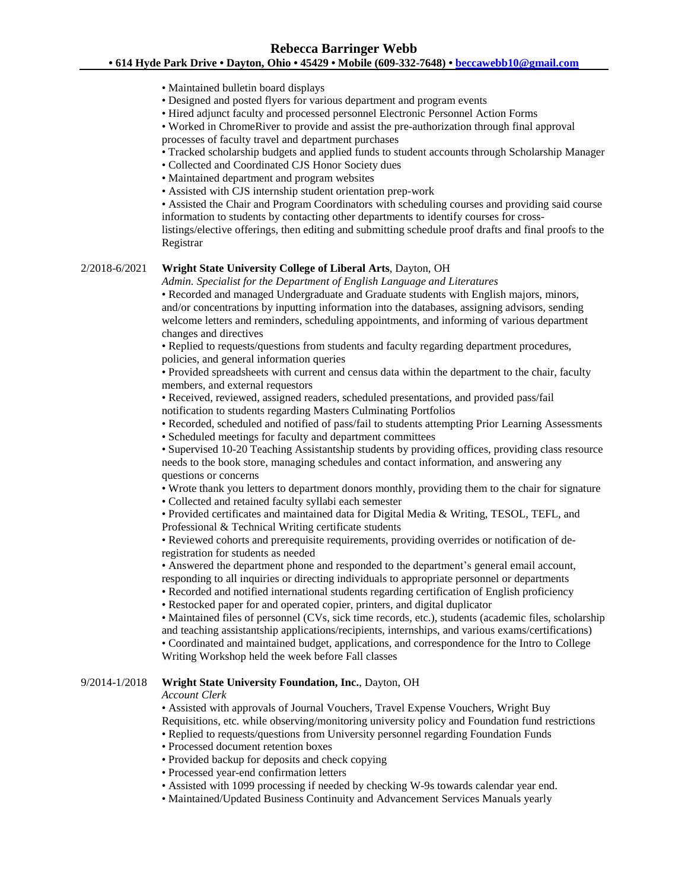## **• 614 Hyde Park Drive • Dayton, Ohio • 45429 • Mobile (609-332-7648) • [beccawebb10@gmail.com](mailto:beccawebb10@gmail.com)**

- Maintained bulletin board displays
- Designed and posted flyers for various department and program events
- Hired adjunct faculty and processed personnel Electronic Personnel Action Forms

• Worked in ChromeRiver to provide and assist the pre-authorization through final approval processes of faculty travel and department purchases

- Tracked scholarship budgets and applied funds to student accounts through Scholarship Manager
- Collected and Coordinated CJS Honor Society dues
- Maintained department and program websites
- Assisted with CJS internship student orientation prep-work

• Assisted the Chair and Program Coordinators with scheduling courses and providing said course information to students by contacting other departments to identify courses for cross-

listings/elective offerings, then editing and submitting schedule proof drafts and final proofs to the Registrar

## 2/2018-6/2021 **Wright State University College of Liberal Arts**, Dayton, OH

*Admin. Specialist for the Department of English Language and Literatures*

• Recorded and managed Undergraduate and Graduate students with English majors, minors, and/or concentrations by inputting information into the databases, assigning advisors, sending welcome letters and reminders, scheduling appointments, and informing of various department changes and directives

• Replied to requests/questions from students and faculty regarding department procedures, policies, and general information queries

• Provided spreadsheets with current and census data within the department to the chair, faculty members, and external requestors

• Received, reviewed, assigned readers, scheduled presentations, and provided pass/fail notification to students regarding Masters Culminating Portfolios

• Recorded, scheduled and notified of pass/fail to students attempting Prior Learning Assessments

• Scheduled meetings for faculty and department committees

• Supervised 10-20 Teaching Assistantship students by providing offices, providing class resource needs to the book store, managing schedules and contact information, and answering any questions or concerns

• Wrote thank you letters to department donors monthly, providing them to the chair for signature

• Collected and retained faculty syllabi each semester

• Provided certificates and maintained data for Digital Media & Writing, TESOL, TEFL, and Professional & Technical Writing certificate students

• Reviewed cohorts and prerequisite requirements, providing overrides or notification of deregistration for students as needed

• Answered the department phone and responded to the department's general email account, responding to all inquiries or directing individuals to appropriate personnel or departments

• Recorded and notified international students regarding certification of English proficiency

• Restocked paper for and operated copier, printers, and digital duplicator

• Maintained files of personnel (CVs, sick time records, etc.), students (academic files, scholarship and teaching assistantship applications/recipients, internships, and various exams/certifications) • Coordinated and maintained budget, applications, and correspondence for the Intro to College

Writing Workshop held the week before Fall classes

## 9/2014-1/2018 **Wright State University Foundation, Inc.**, Dayton, OH

#### *Account Clerk*

• Assisted with approvals of Journal Vouchers, Travel Expense Vouchers, Wright Buy Requisitions, etc. while observing/monitoring university policy and Foundation fund restrictions

• Replied to requests/questions from University personnel regarding Foundation Funds

- Processed document retention boxes
- Provided backup for deposits and check copying
- Processed year-end confirmation letters
- Assisted with 1099 processing if needed by checking W-9s towards calendar year end.
- Maintained/Updated Business Continuity and Advancement Services Manuals yearly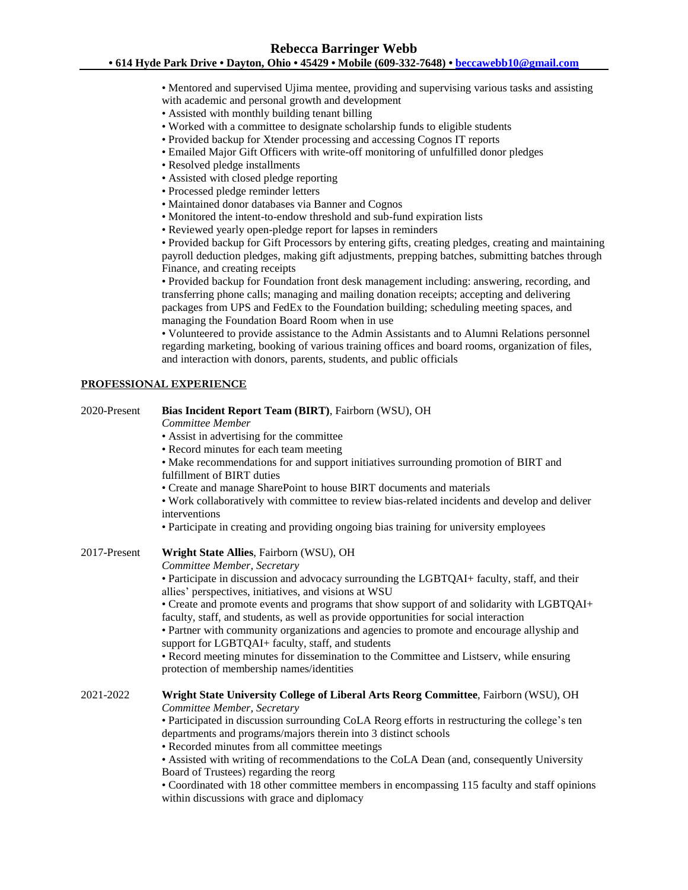• Mentored and supervised Ujima mentee, providing and supervising various tasks and assisting with academic and personal growth and development

- Assisted with monthly building tenant billing
- Worked with a committee to designate scholarship funds to eligible students
- Provided backup for Xtender processing and accessing Cognos IT reports
- Emailed Major Gift Officers with write-off monitoring of unfulfilled donor pledges
- Resolved pledge installments
- Assisted with closed pledge reporting
- Processed pledge reminder letters
- Maintained donor databases via Banner and Cognos
- Monitored the intent-to-endow threshold and sub-fund expiration lists
- Reviewed yearly open-pledge report for lapses in reminders

• Provided backup for Gift Processors by entering gifts, creating pledges, creating and maintaining payroll deduction pledges, making gift adjustments, prepping batches, submitting batches through Finance, and creating receipts

• Provided backup for Foundation front desk management including: answering, recording, and transferring phone calls; managing and mailing donation receipts; accepting and delivering packages from UPS and FedEx to the Foundation building; scheduling meeting spaces, and managing the Foundation Board Room when in use

• Volunteered to provide assistance to the Admin Assistants and to Alumni Relations personnel regarding marketing, booking of various training offices and board rooms, organization of files, and interaction with donors, parents, students, and public officials

#### **PROFESSIONAL EXPERIENCE**

#### 2020-Present **Bias Incident Report Team (BIRT)**, Fairborn (WSU), OH

*Committee Member*

- Assist in advertising for the committee
- Record minutes for each team meeting

• Make recommendations for and support initiatives surrounding promotion of BIRT and fulfillment of BIRT duties

• Create and manage SharePoint to house BIRT documents and materials

• Work collaboratively with committee to review bias-related incidents and develop and deliver interventions

• Participate in creating and providing ongoing bias training for university employees

## 2017-Present **Wright State Allies**, Fairborn (WSU), OH

*Committee Member, Secretary*

• Participate in discussion and advocacy surrounding the LGBTQAI+ faculty, staff, and their allies' perspectives, initiatives, and visions at WSU

• Create and promote events and programs that show support of and solidarity with LGBTQAI+ faculty, staff, and students, as well as provide opportunities for social interaction

• Partner with community organizations and agencies to promote and encourage allyship and support for LGBTQAI+ faculty, staff, and students

• Record meeting minutes for dissemination to the Committee and Listserv, while ensuring protection of membership names/identities

## 2021-2022 **Wright State University College of Liberal Arts Reorg Committee**, Fairborn (WSU), OH *Committee Member, Secretary*

• Participated in discussion surrounding CoLA Reorg efforts in restructuring the college's ten departments and programs/majors therein into 3 distinct schools

• Recorded minutes from all committee meetings

• Assisted with writing of recommendations to the CoLA Dean (and, consequently University Board of Trustees) regarding the reorg

• Coordinated with 18 other committee members in encompassing 115 faculty and staff opinions within discussions with grace and diplomacy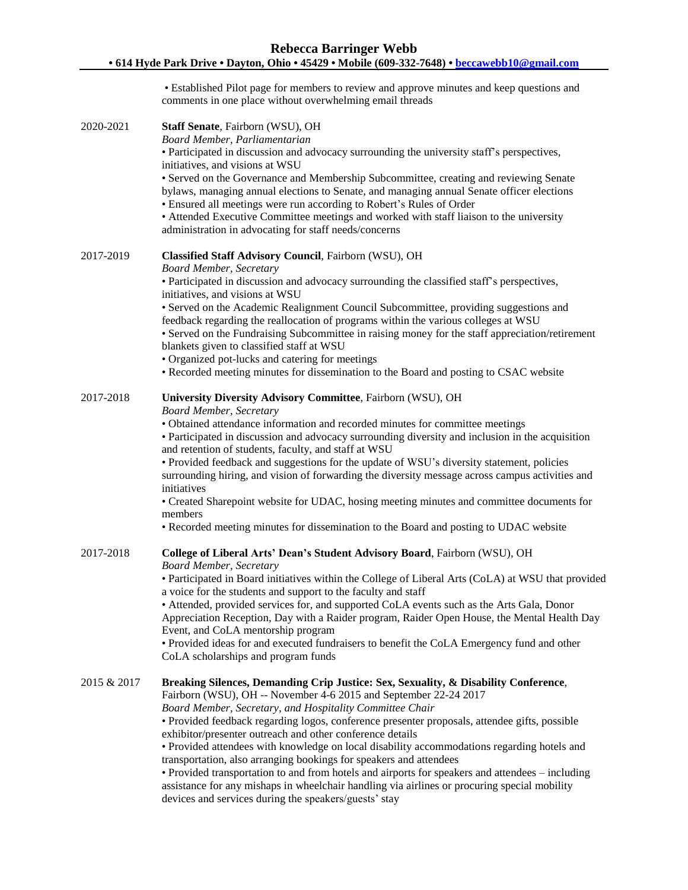• Established Pilot page for members to review and approve minutes and keep questions and comments in one place without overwhelming email threads 2020-2021 **Staff Senate**, Fairborn (WSU), OH *Board Member, Parliamentarian* • Participated in discussion and advocacy surrounding the university staff's perspectives, initiatives, and visions at WSU • Served on the Governance and Membership Subcommittee, creating and reviewing Senate bylaws, managing annual elections to Senate, and managing annual Senate officer elections • Ensured all meetings were run according to Robert's Rules of Order • Attended Executive Committee meetings and worked with staff liaison to the university administration in advocating for staff needs/concerns 2017-2019 **Classified Staff Advisory Council**, Fairborn (WSU), OH *Board Member, Secretary* • Participated in discussion and advocacy surrounding the classified staff's perspectives, initiatives, and visions at WSU • Served on the Academic Realignment Council Subcommittee, providing suggestions and feedback regarding the reallocation of programs within the various colleges at WSU • Served on the Fundraising Subcommittee in raising money for the staff appreciation/retirement blankets given to classified staff at WSU • Organized pot-lucks and catering for meetings • Recorded meeting minutes for dissemination to the Board and posting to CSAC website 2017-2018 **University Diversity Advisory Committee**, Fairborn (WSU), OH *Board Member, Secretary* • Obtained attendance information and recorded minutes for committee meetings • Participated in discussion and advocacy surrounding diversity and inclusion in the acquisition and retention of students, faculty, and staff at WSU • Provided feedback and suggestions for the update of WSU's diversity statement, policies surrounding hiring, and vision of forwarding the diversity message across campus activities and initiatives • Created Sharepoint website for UDAC, hosing meeting minutes and committee documents for members • Recorded meeting minutes for dissemination to the Board and posting to UDAC website 2017-2018 **College of Liberal Arts' Dean's Student Advisory Board**, Fairborn (WSU), OH *Board Member, Secretary* • Participated in Board initiatives within the College of Liberal Arts (CoLA) at WSU that provided a voice for the students and support to the faculty and staff • Attended, provided services for, and supported CoLA events such as the Arts Gala, Donor Appreciation Reception, Day with a Raider program, Raider Open House, the Mental Health Day Event, and CoLA mentorship program • Provided ideas for and executed fundraisers to benefit the CoLA Emergency fund and other CoLA scholarships and program funds 2015 & 2017 **Breaking Silences, Demanding Crip Justice: Sex, Sexuality, & Disability Conference**, Fairborn (WSU), OH -- November 4-6 2015 and September 22-24 2017 *Board Member, Secretary, and Hospitality Committee Chair* • Provided feedback regarding logos, conference presenter proposals, attendee gifts, possible exhibitor/presenter outreach and other conference details • Provided attendees with knowledge on local disability accommodations regarding hotels and transportation, also arranging bookings for speakers and attendees • Provided transportation to and from hotels and airports for speakers and attendees – including assistance for any mishaps in wheelchair handling via airlines or procuring special mobility

devices and services during the speakers/guests' stay